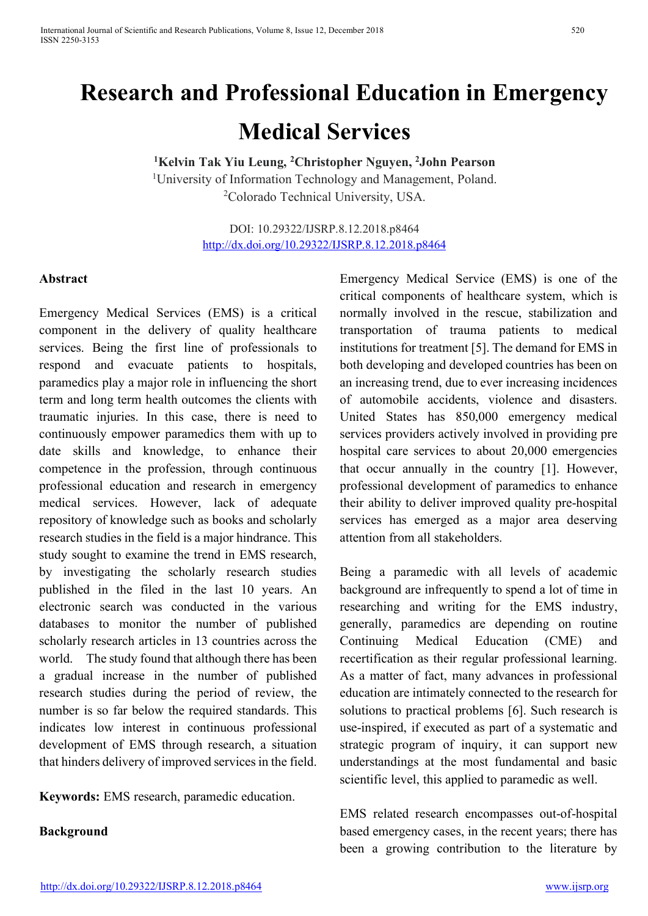# **Research and Professional Education in Emergency Medical Services**

<sup>1</sup>Kelvin Tak Yiu Leung, <sup>2</sup>Christopher Nguyen, <sup>2</sup>John Pearson <sup>1</sup>University of Information Technology and Management, Poland. 2 Colorado Technical University, USA.

> DOI: 10.29322/IJSRP.8.12.2018.p8464 http://dx.doi.org/10.29322/IJSRP.8.12.2018.p8464

#### **Abstract**

Emergency Medical Services (EMS) is a critical component in the delivery of quality healthcare services. Being the first line of professionals to respond and evacuate patients to hospitals, paramedics play a major role in influencing the short term and long term health outcomes the clients with traumatic injuries. In this case, there is need to continuously empower paramedics them with up to date skills and knowledge, to enhance their competence in the profession, through continuous professional education and research in emergency medical services. However, lack of adequate repository of knowledge such as books and scholarly research studies in the field is a major hindrance. This study sought to examine the trend in EMS research, by investigating the scholarly research studies published in the filed in the last 10 years. An electronic search was conducted in the various databases to monitor the number of published scholarly research articles in 13 countries across the world. The study found that although there has been a gradual increase in the number of published research studies during the period of review, the number is so far below the required standards. This indicates low interest in continuous professional development of EMS through research, a situation that hinders delivery of improved services in the field.

**Keywords:** EMS research, paramedic education.

**Background** 

Emergency Medical Service (EMS) is one of the critical components of healthcare system, which is normally involved in the rescue, stabilization and transportation of trauma patients to medical institutions for treatment [5]. The demand for EMS in both developing and developed countries has been on an increasing trend, due to ever increasing incidences of automobile accidents, violence and disasters. United States has 850,000 emergency medical services providers actively involved in providing pre hospital care services to about 20,000 emergencies that occur annually in the country [1]. However, professional development of paramedics to enhance their ability to deliver improved quality pre-hospital services has emerged as a major area deserving attention from all stakeholders.

Being a paramedic with all levels of academic background are infrequently to spend a lot of time in researching and writing for the EMS industry, generally, paramedics are depending on routine Continuing Medical Education (CME) and recertification as their regular professional learning. As a matter of fact, many advances in professional education are intimately connected to the research for solutions to practical problems [6]. Such research is use-inspired, if executed as part of a systematic and strategic program of inquiry, it can support new understandings at the most fundamental and basic scientific level, this applied to paramedic as well.

EMS related research encompasses out-of-hospital based emergency cases, in the recent years; there has been a growing contribution to the literature by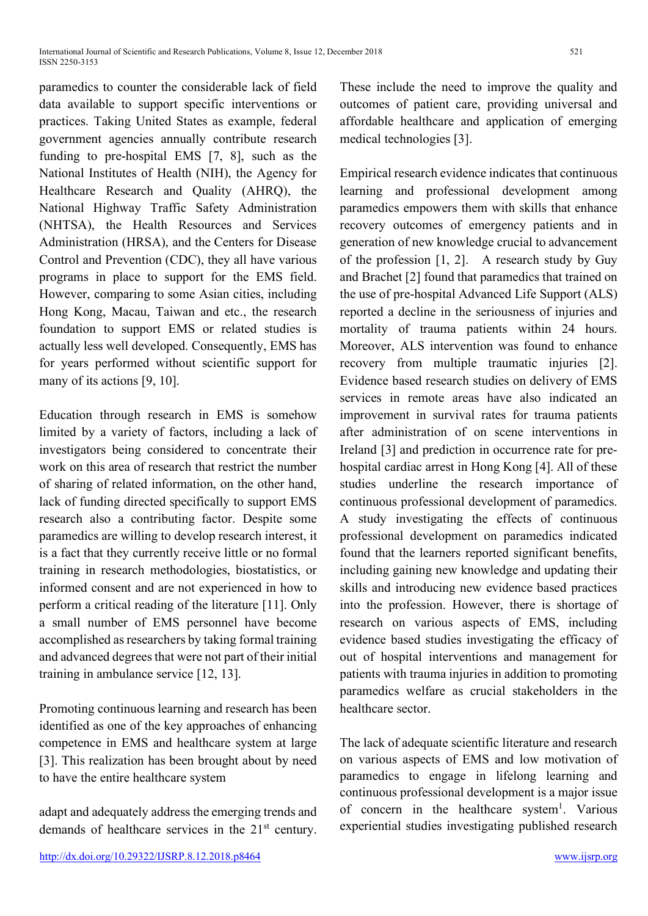paramedics to counter the considerable lack of field data available to support specific interventions or practices. Taking United States as example, federal government agencies annually contribute research funding to pre-hospital EMS [7, 8], such as the National Institutes of Health (NIH), the Agency for Healthcare Research and Quality (AHRQ), the National Highway Traffic Safety Administration (NHTSA), the Health Resources and Services Administration (HRSA), and the Centers for Disease Control and Prevention (CDC), they all have various programs in place to support for the EMS field. However, comparing to some Asian cities, including Hong Kong, Macau, Taiwan and etc., the research foundation to support EMS or related studies is actually less well developed. Consequently, EMS has for years performed without scientific support for many of its actions [9, 10].

Education through research in EMS is somehow limited by a variety of factors, including a lack of investigators being considered to concentrate their work on this area of research that restrict the number of sharing of related information, on the other hand, lack of funding directed specifically to support EMS research also a contributing factor. Despite some paramedics are willing to develop research interest, it is a fact that they currently receive little or no formal training in research methodologies, biostatistics, or informed consent and are not experienced in how to perform a critical reading of the literature [11]. Only a small number of EMS personnel have become accomplished as researchers by taking formal training and advanced degrees that were not part of their initial training in ambulance service [12, 13].

Promoting continuous learning and research has been identified as one of the key approaches of enhancing competence in EMS and healthcare system at large [3]. This realization has been brought about by need to have the entire healthcare system

adapt and adequately address the emerging trends and demands of healthcare services in the 21st century. These include the need to improve the quality and outcomes of patient care, providing universal and affordable healthcare and application of emerging medical technologies [3].

Empirical research evidence indicates that continuous learning and professional development among paramedics empowers them with skills that enhance recovery outcomes of emergency patients and in generation of new knowledge crucial to advancement of the profession [1, 2]. A research study by Guy and Brachet [2] found that paramedics that trained on the use of pre-hospital Advanced Life Support (ALS) reported a decline in the seriousness of injuries and mortality of trauma patients within 24 hours. Moreover, ALS intervention was found to enhance recovery from multiple traumatic injuries [2]. Evidence based research studies on delivery of EMS services in remote areas have also indicated an improvement in survival rates for trauma patients after administration of on scene interventions in Ireland [3] and prediction in occurrence rate for prehospital cardiac arrest in Hong Kong [4]. All of these studies underline the research importance of continuous professional development of paramedics. A study investigating the effects of continuous professional development on paramedics indicated found that the learners reported significant benefits, including gaining new knowledge and updating their skills and introducing new evidence based practices into the profession. However, there is shortage of research on various aspects of EMS, including evidence based studies investigating the efficacy of out of hospital interventions and management for patients with trauma injuries in addition to promoting paramedics welfare as crucial stakeholders in the healthcare sector.

The lack of adequate scientific literature and research on various aspects of EMS and low motivation of paramedics to engage in lifelong learning and continuous professional development is a major issue of concern in the healthcare system<sup>1</sup>. Various experiential studies investigating published research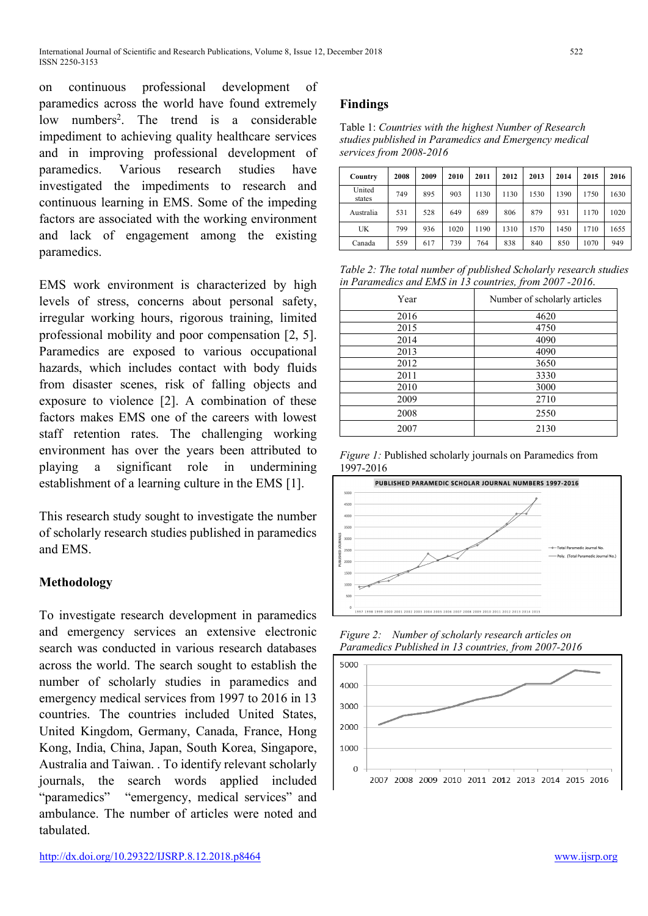on continuous professional development of paramedics across the world have found extremely low numbers<sup>2</sup>. The trend is a considerable impediment to achieving quality healthcare services and in improving professional development of paramedics. Various research studies have investigated the impediments to research and continuous learning in EMS. Some of the impeding factors are associated with the working environment and lack of engagement among the existing paramedics.

EMS work environment is characterized by high levels of stress, concerns about personal safety, irregular working hours, rigorous training, limited professional mobility and poor compensation [2, 5]. Paramedics are exposed to various occupational hazards, which includes contact with body fluids from disaster scenes, risk of falling objects and exposure to violence [2]. A combination of these factors makes EMS one of the careers with lowest staff retention rates. The challenging working environment has over the years been attributed to playing a significant role in undermining establishment of a learning culture in the EMS [1].

This research study sought to investigate the number of scholarly research studies published in paramedics and EMS.

## **Methodology**

To investigate research development in paramedics and emergency services an extensive electronic search was conducted in various research databases across the world. The search sought to establish the number of scholarly studies in paramedics and emergency medical services from 1997 to 2016 in 13 countries. The countries included United States, United Kingdom, Germany, Canada, France, Hong Kong, India, China, Japan, South Korea, Singapore, Australia and Taiwan. . To identify relevant scholarly journals, the search words applied included "paramedics" "emergency, medical services" and ambulance. The number of articles were noted and tabulated.

### **Findings**

| Table 1: Countries with the highest Number of Research |
|--------------------------------------------------------|
| studies published in Paramedics and Emergency medical  |
| services from 2008-2016                                |

| Country          | 2008 | 2009 | 2010 | 2011 | 2012 | 2013 | 2014 | 2015 | 2016 |
|------------------|------|------|------|------|------|------|------|------|------|
| United<br>states | 749  | 895  | 903  | 1130 | 1130 | 1530 | 1390 | 1750 | 1630 |
| Australia        | 531  | 528  | 649  | 689  | 806  | 879  | 931  | 1170 | 1020 |
| UK               | 799  | 936  | 1020 | 1190 | 1310 | 1570 | 1450 | 1710 | 1655 |
| Canada           | 559  | 617  | 739  | 764  | 838  | 840  | 850  | 1070 | 949  |

*Table 2: The total number of published Scholarly research studies in Paramedics and EMS in 13 countries, from 2007 -2016*.

| Year | Number of scholarly articles |
|------|------------------------------|
| 2016 | 4620                         |
| 2015 | 4750                         |
| 2014 | 4090                         |
| 2013 | 4090                         |
| 2012 | 3650                         |
| 2011 | 3330                         |
| 2010 | 3000                         |
| 2009 | 2710                         |
| 2008 | 2550                         |
| 2007 | 2130                         |

*Figure 1:* Published scholarly journals on Paramedics from 1997-2016



*Figure 2: Number of scholarly research articles on Paramedics Published in 13 countries, from 2007-2016*

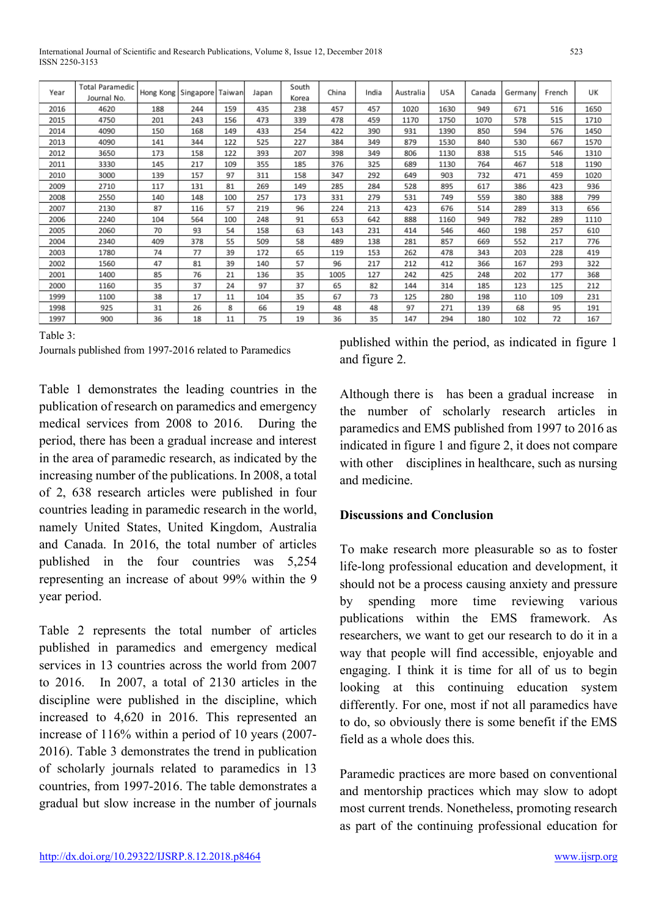Table 1 demonstrates the leading countries in the publication of research on paramedics and emergency medical services from 2008 to 2016. During the period, there has been a gradual increase and interest in the area of paramedic research, as indicated by the increasing number of the publications. In 2008, a total of 2, 638 research articles were published in four countries leading in paramedic research in the world, namely United States, United Kingdom, Australia and Canada. In 2016, the total number of articles published in the four countries was 5,254 representing an increase of about 99% within the 9 year period.

Table 2 represents the total number of articles published in paramedics and emergency medical services in 13 countries across the world from 2007 to 2016. In 2007, a total of 2130 articles in the discipline were published in the discipline, which increased to 4,620 in 2016. This represented an increase of 116% within a period of 10 years (2007- 2016). Table 3 demonstrates the trend in publication of scholarly journals related to paramedics in 13 countries, from 1997-2016. The table demonstrates a gradual but slow increase in the number of journals

published within the period, as indicated in figure 1 and figure 2.

Although there is has been a gradual increase in the number of scholarly research articles in paramedics and EMS published from 1997 to 2016 as indicated in figure 1 and figure 2, it does not compare with other disciplines in healthcare, such as nursing and medicine.

#### **Discussions and Conclusion**

To make research more pleasurable so as to foster life-long professional education and development, it should not be a process causing anxiety and pressure by spending more time reviewing various publications within the EMS framework. As researchers, we want to get our research to do it in a way that people will find accessible, enjoyable and engaging. I think it is time for all of us to begin looking at this continuing education system differently. For one, most if not all paramedics have to do, so obviously there is some benefit if the EMS field as a whole does this.

Paramedic practices are more based on conventional and mentorship practices which may slow to adopt most current trends. Nonetheless, promoting research as part of the continuing professional education for

| Year | Total Paramedic<br>Journal No. | Hong Kong Singapore Taiwan |     |     | Japan | South<br>Korea | China | India | Australia | USA  | Canada | Germany | French | UK   |
|------|--------------------------------|----------------------------|-----|-----|-------|----------------|-------|-------|-----------|------|--------|---------|--------|------|
| 2016 | 4620                           | 188                        | 244 | 159 | 435   | 238            | 457   | 457   | 1020      | 1630 | 949    | 671     | 516    | 1650 |
| 2015 | 4750                           | 201                        | 243 | 156 | 473   | 339            | 478   | 459   | 1170      | 1750 | 1070   | 578     | 515    | 1710 |
| 2014 | 4090                           | 150                        | 168 | 149 | 433   | 254            | 422   | 390   | 931       | 1390 | 850    | 594     | 576    | 1450 |
| 2013 | 4090                           | 141                        | 344 | 122 | 525   | 227            | 384   | 349   | 879       | 1530 | 840    | 530     | 667    | 1570 |
| 2012 | 3650                           | 173                        | 158 | 122 | 393   | 207            | 398   | 349   | 806       | 1130 | 838    | 515     | 546    | 1310 |
| 2011 | 3330                           | 145                        | 217 | 109 | 355   | 185            | 376   | 325   | 689       | 1130 | 764    | 467     | 518    | 1190 |
| 2010 | 3000                           | 139                        | 157 | 97  | 311   | 158            | 347   | 292   | 649       | 903  | 732    | 471     | 459    | 1020 |
| 2009 | 2710                           | 117                        | 131 | 81  | 269   | 149            | 285   | 284   | 528       | 895  | 617    | 386     | 423    | 936  |
| 2008 | 2550                           | 140                        | 148 | 100 | 257   | 173            | 331   | 279   | 531       | 749  | 559    | 380     | 388    | 799  |
| 2007 | 2130                           | 87                         | 116 | 57  | 219   | 96             | 224   | 213   | 423       | 676  | 514    | 289     | 313    | 656  |
| 2006 | 2240                           | 104                        | 564 | 100 | 248   | 91             | 653   | 642   | 888       | 1160 | 949    | 782     | 289    | 1110 |
| 2005 | 2060                           | 70                         | 93  | 54  | 158   | 63             | 143   | 231   | 414       | 546  | 460    | 198     | 257    | 610  |
| 2004 | 2340                           | 409                        | 378 | 55  | 509   | 58             | 489   | 138   | 281       | 857  | 669    | 552     | 217    | 776  |
| 2003 | 1780                           | 74                         | 77  | 39  | 172   | 65             | 119   | 153   | 262       | 478  | 343    | 203     | 228    | 419  |
| 2002 | 1560                           | 47                         | 81  | 39  | 140   | 57             | 96    | 217   | 212       | 412  | 366    | 167     | 293    | 322  |
| 2001 | 1400                           | 85                         | 76  | 21  | 136   | 35             | 1005  | 127   | 242       | 425  | 248    | 202     | 177    | 368  |
| 2000 | 1160                           | 35                         | 37  | 24  | 97    | 37             | 65    | 82    | 144       | 314  | 185    | 123     | 125    | 212  |
| 1999 | 1100                           | 38                         | 17  | 11  | 104   | 35             | 67    | 73    | 125       | 280  | 198    | 110     | 109    | 231  |
| 1998 | 925                            | 31                         | 26  | 8   | 66    | 19             | 48    | 48    | 97        | 271  | 139    | 68      | 95     | 191  |
| 1997 | 900                            | 36                         | 18  | 11  | 75    | 19             | 36    | 35    | 147       | 294  | 180    | 102     | 72     | 167  |

Table 3:

| Journals published from 1997-2016 related to Paramedics |
|---------------------------------------------------------|
|                                                         |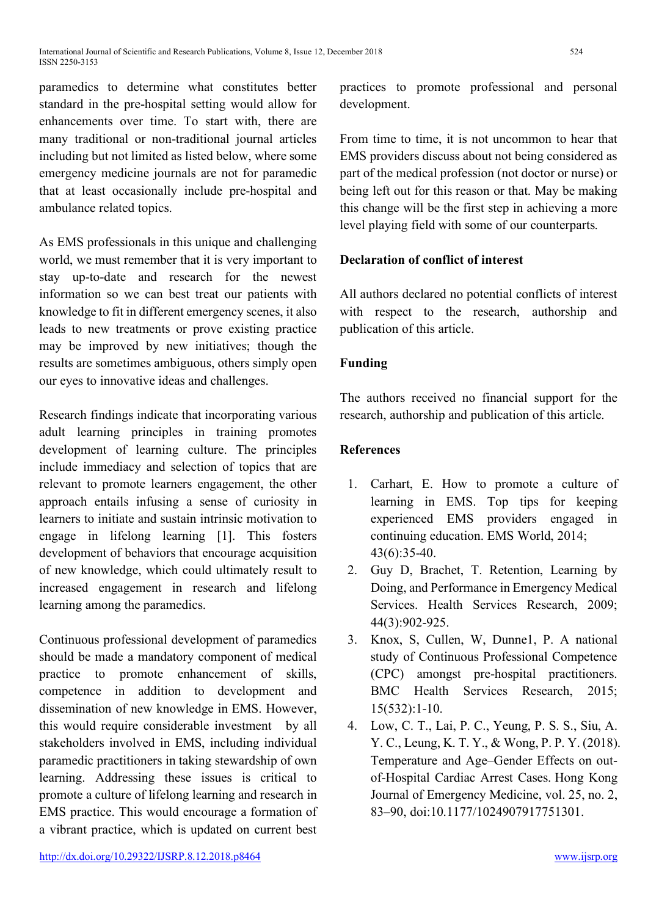paramedics to determine what constitutes better standard in the pre-hospital setting would allow for enhancements over time. To start with, there are many traditional or non-traditional journal articles including but not limited as listed below, where some emergency medicine journals are not for paramedic that at least occasionally include pre-hospital and ambulance related topics.

As EMS professionals in this unique and challenging world, we must remember that it is very important to stay up-to-date and research for the newest information so we can best treat our patients with knowledge to fit in different emergency scenes, it also leads to new treatments or prove existing practice may be improved by new initiatives; though the results are sometimes ambiguous, others simply open our eyes to innovative ideas and challenges.

Research findings indicate that incorporating various adult learning principles in training promotes development of learning culture. The principles include immediacy and selection of topics that are relevant to promote learners engagement, the other approach entails infusing a sense of curiosity in learners to initiate and sustain intrinsic motivation to engage in lifelong learning [1]. This fosters development of behaviors that encourage acquisition of new knowledge, which could ultimately result to increased engagement in research and lifelong learning among the paramedics.

Continuous professional development of paramedics should be made a mandatory component of medical practice to promote enhancement of skills, competence in addition to development and dissemination of new knowledge in EMS. However, this would require considerable investment by all stakeholders involved in EMS, including individual paramedic practitioners in taking stewardship of own learning. Addressing these issues is critical to promote a culture of lifelong learning and research in EMS practice. This would encourage a formation of a vibrant practice, which is updated on current best

practices to promote professional and personal development.

From time to time, it is not uncommon to hear that EMS providers discuss about not being considered as part of the medical profession (not doctor or nurse) or being left out for this reason or that. May be making this change will be the first step in achieving a more level playing field with some of our counterparts.

## **Declaration of conflict of interest**

All authors declared no potential conflicts of interest with respect to the research, authorship and publication of this article.

## **Funding**

The authors received no financial support for the research, authorship and publication of this article.

## **References**

- 1. Carhart, E. How to promote a culture of learning in EMS. Top tips for keeping experienced EMS providers engaged in continuing education. EMS World, 2014; 43(6):35-40.
- 2. Guy D, Brachet, T. Retention, Learning by Doing, and Performance in Emergency Medical Services. Health Services Research, 2009; 44(3):902-925.
- 3. Knox, S, Cullen, W, Dunne1, P. A national study of Continuous Professional Competence (CPC) amongst pre-hospital practitioners. BMC Health Services Research, 2015; 15(532):1-10.
- 4. Low, C. T., Lai, P. C., Yeung, P. S. S., Siu, A. Y. C., Leung, K. T. Y., & Wong, P. P. Y. (2018). Temperature and Age–Gender Effects on outof-Hospital Cardiac Arrest Cases. Hong Kong Journal of Emergency Medicine, vol. 25, no. 2, 83–90, doi:10.1177/1024907917751301.